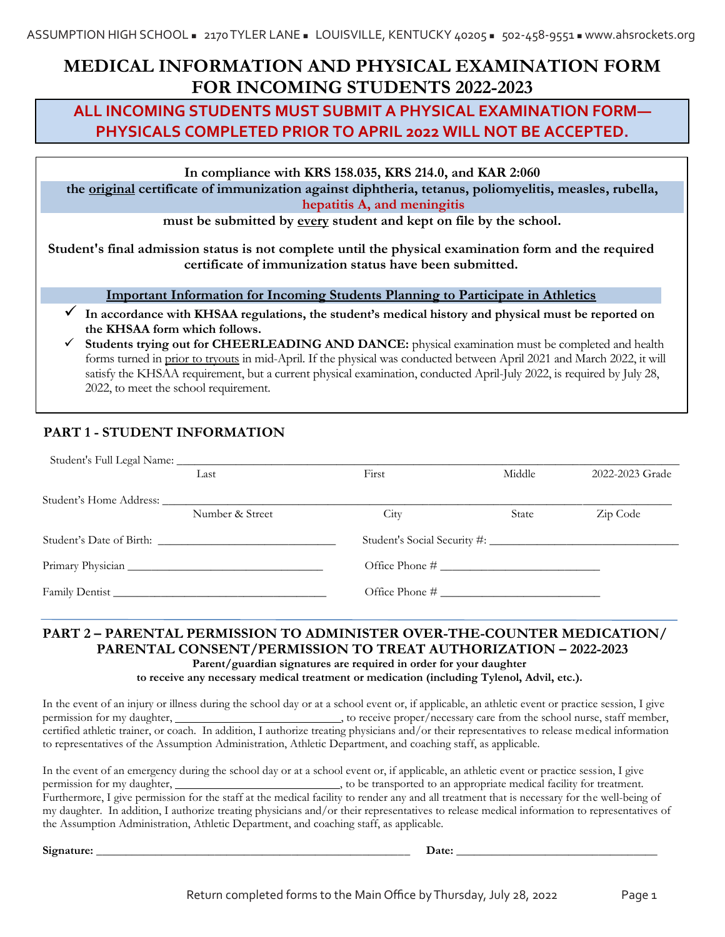# **MEDICAL INFORMATION AND PHYSICAL EXAMINATION FORM FOR INCOMING STUDENTS 2022-2023**

# **ALL INCOMING STUDENTS MUST SUBMIT A PHYSICAL EXAMINATION FORM— PHYSICALS COMPLETED PRIOR TO APRIL 2022 WILL NOT BE ACCEPTED.**

**In compliance with KRS 158.035, KRS 214.0, and KAR 2:060**

**the original certificate of immunization against diphtheria, tetanus, poliomyelitis, measles, rubella, hepatitis A, and meningitis**

**must be submitted by every student and kept on file by the school.**

**Student's final admission status is not complete until the physical examination form and the required certificate of immunization status have been submitted.**

# **Important Information for Incoming Students Planning to Participate in Athletics**

- **In accordance with KHSAA regulations, the student's medical history and physical must be reported on the KHSAA form which follows.**
- Students trying out for CHEERLEADING AND DANCE: physical examination must be completed and health forms turned in prior to tryouts in mid-April. If the physical was conducted between April 2021 and March 2022, it will satisfy the KHSAA requirement, but a current physical examination, conducted April-July 2022, is required by July 28, 2022, to meet the school requirement.

# **PART 1 - STUDENT INFORMATION**

| Last                     | First | Middle | 2022-2023 Grade |
|--------------------------|-------|--------|-----------------|
|                          |       |        |                 |
| Number & Street          | City  | State  | Zip Code        |
| Student's Date of Birth: |       |        |                 |
|                          |       |        |                 |
| Family Dentist           |       |        |                 |

# **PART 2 – PARENTAL PERMISSION TO ADMINISTER OVER-THE-COUNTER MEDICATION/ PARENTAL CONSENT/PERMISSION TO TREAT AUTHORIZATION – 2022-2023 Parent/guardian signatures are required in order for your daughter**

**to receive any necessary medical treatment or medication (including Tylenol, Advil, etc.).** 

In the event of an injury or illness during the school day or at a school event or, if applicable, an athletic event or practice session, I give permission for my daughter,  $\sim$  , to receive proper/necessary care from the school nurse, staff member, certified athletic trainer, or coach. In addition, I authorize treating physicians and/or their representatives to release medical information to representatives of the Assumption Administration, Athletic Department, and coaching staff, as applicable.

In the event of an emergency during the school day or at a school event or, if applicable, an athletic event or practice session, I give permission for my daughter,  $\Box$  , to be transported to an appropriate medical facility for treatment. Furthermore, I give permission for the staff at the medical facility to render any and all treatment that is necessary for the well-being of my daughter. In addition, I authorize treating physicians and/or their representatives to release medical information to representatives of the Assumption Administration, Athletic Department, and coaching staff, as applicable.

**Signature: \_\_\_\_\_\_\_\_\_\_\_\_\_\_\_\_\_\_\_\_\_\_\_\_\_\_\_\_\_\_\_\_\_\_\_\_\_\_\_\_\_\_\_\_\_\_\_\_\_\_\_\_\_ Date: \_\_\_\_\_\_\_\_\_\_\_\_\_\_\_\_\_\_\_\_\_\_\_\_\_\_\_\_\_\_\_\_\_\_**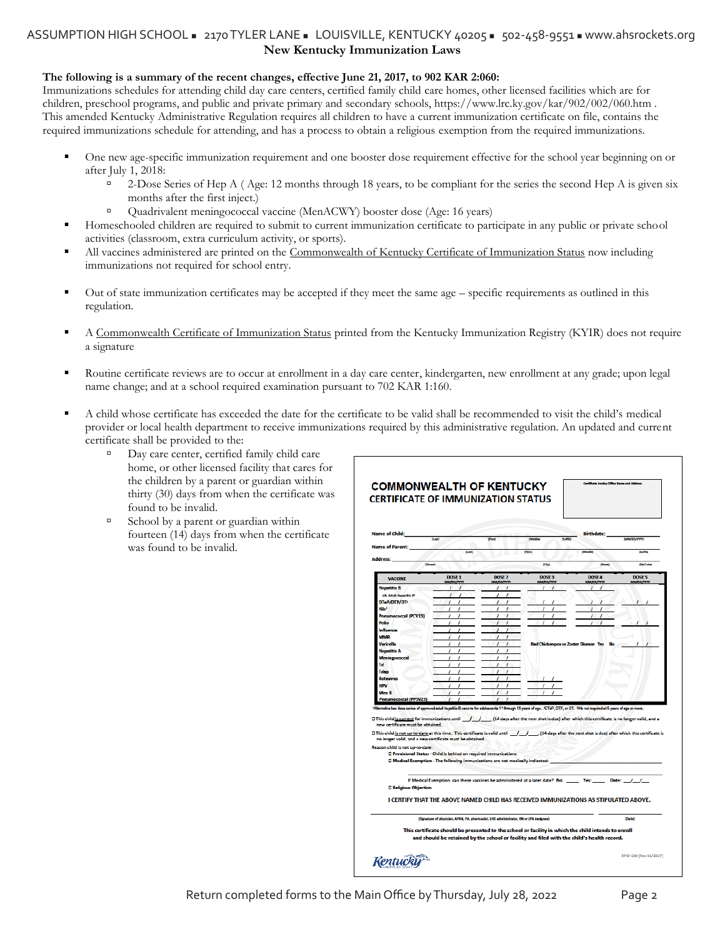# **New Kentucky Immunization Laws** ASSUMPTION HIGH SCHOOL = 2170 TYLER LANE = LOUISVILLE, KENTUCKY 40205 = 502-458-9551 = www.ahsrockets.org

#### **The following is a summary of the recent changes, effective June 21, 2017, to 902 KAR 2:060:**

Immunizations schedules for attending child day care centers, certified family child care homes, other licensed facilities which are for children, preschool programs, and public and private primary and secondary schools, https://www.lrc.ky.gov/kar/902/002/060.htm . This amended Kentucky Administrative Regulation requires all children to have a current immunization certificate on file, contains the required immunizations schedule for attending, and has a process to obtain a religious exemption from the required immunizations.

- One new age-specific immunization requirement and one booster dose requirement effective for the school year beginning on or after July 1, 2018:
	- <sup>2</sup> 2-Dose Series of Hep A ( Age: 12 months through 18 years, to be compliant for the series the second Hep A is given six months after the first inject.)
	- Quadrivalent meningococcal vaccine (MenACWY) booster dose (Age: 16 years)
- Homeschooled children are required to submit to current immunization certificate to participate in any public or private school activities (classroom, extra curriculum activity, or sports).
- All vaccines administered are printed on the Commonwealth of Kentucky Certificate of Immunization Status now including immunizations not required for school entry.
- Out of state immunization certificates may be accepted if they meet the same age specific requirements as outlined in this regulation.
- A Commonwealth Certificate of Immunization Status printed from the Kentucky Immunization Registry (KYIR) does not require a signature
- Routine certificate reviews are to occur at enrollment in a day care center, kindergarten, new enrollment at any grade; upon legal name change; and at a school required examination pursuant to 702 KAR 1:160.
- A child whose certificate has exceeded the date for the certificate to be valid shall be recommended to visit the child's medical provider or local health department to receive immunizations required by this administrative regulation. An updated and current certificate shall be provided to the:
	- Day care center, certified family child care home, or other licensed facility that cares for the children by a parent or guardian within thirty (30) days from when the certificate was found to be invalid.
	- $\Box$  School by a parent or guardian within fourteen (14) days from when the certificate was found to be invalid.

| <b>Name of Child:</b>                                                | <b>Bank</b>                                                                                                                                                                                                            | (First)                                | <b>IMMS</b><br><b>Buffel</b>                | <b>Birthdate:</b>                                                                                                                                                                                                                                                                                               | (MM/DD/YYYY)                           |
|----------------------------------------------------------------------|------------------------------------------------------------------------------------------------------------------------------------------------------------------------------------------------------------------------|----------------------------------------|---------------------------------------------|-----------------------------------------------------------------------------------------------------------------------------------------------------------------------------------------------------------------------------------------------------------------------------------------------------------------|----------------------------------------|
| <b>Name of Parent:</b>                                               | $0 - 1$                                                                                                                                                                                                                |                                        | (Close)                                     | <b>Outbriefed</b>                                                                                                                                                                                                                                                                                               | <b>Poster</b>                          |
| <b>Address:</b>                                                      |                                                                                                                                                                                                                        |                                        |                                             |                                                                                                                                                                                                                                                                                                                 |                                        |
|                                                                      | (Street)                                                                                                                                                                                                               |                                        | (Dxy)                                       | (State)                                                                                                                                                                                                                                                                                                         | (Zip Code)                             |
| <b>VACCINE</b>                                                       | DOSE <sub>1</sub><br><b>MM/DD/YFFY</b>                                                                                                                                                                                 | DOSE <sub>2</sub><br><b>MM/00/1111</b> | DOSE <sub>3</sub><br>MM/DD/YYYY             | DOSE 4<br>MM/DD/YYTY                                                                                                                                                                                                                                                                                            | DOSE <sub>5</sub><br><b>MM/DD/TTTT</b> |
| Hepatitis B                                                          |                                                                                                                                                                                                                        |                                        | ı                                           | J                                                                                                                                                                                                                                                                                                               |                                        |
| Alt. Adult Hepatitis B <sup>1</sup>                                  |                                                                                                                                                                                                                        |                                        |                                             |                                                                                                                                                                                                                                                                                                                 |                                        |
| DTaP/DTP/DT                                                          |                                                                                                                                                                                                                        |                                        |                                             |                                                                                                                                                                                                                                                                                                                 |                                        |
| HЪ <sup>3</sup>                                                      |                                                                                                                                                                                                                        |                                        |                                             |                                                                                                                                                                                                                                                                                                                 |                                        |
| <b>Pneumococcal (PCV13)</b><br>Polio                                 |                                                                                                                                                                                                                        |                                        |                                             |                                                                                                                                                                                                                                                                                                                 |                                        |
| <b>Influenza</b>                                                     |                                                                                                                                                                                                                        |                                        |                                             |                                                                                                                                                                                                                                                                                                                 |                                        |
| <b>MMR</b>                                                           | ,                                                                                                                                                                                                                      |                                        |                                             |                                                                                                                                                                                                                                                                                                                 |                                        |
| <b>Varicella</b>                                                     |                                                                                                                                                                                                                        |                                        | <b>Had Chickenpox or Zoster Disease Yes</b> | No                                                                                                                                                                                                                                                                                                              |                                        |
| <b>Hepatitis A</b>                                                   | ,                                                                                                                                                                                                                      | 1<br>,                                 |                                             |                                                                                                                                                                                                                                                                                                                 |                                        |
| Meningococcal                                                        |                                                                                                                                                                                                                        |                                        |                                             |                                                                                                                                                                                                                                                                                                                 |                                        |
| Td                                                                   |                                                                                                                                                                                                                        | 1                                      |                                             |                                                                                                                                                                                                                                                                                                                 |                                        |
| Tdap                                                                 |                                                                                                                                                                                                                        |                                        |                                             |                                                                                                                                                                                                                                                                                                                 |                                        |
| Rotavirus                                                            |                                                                                                                                                                                                                        | 1<br>ı                                 |                                             |                                                                                                                                                                                                                                                                                                                 |                                        |
| <b>HPV</b>                                                           |                                                                                                                                                                                                                        |                                        |                                             |                                                                                                                                                                                                                                                                                                                 |                                        |
| Man R                                                                |                                                                                                                                                                                                                        |                                        |                                             |                                                                                                                                                                                                                                                                                                                 |                                        |
| <b>Pneumococcal (PPSV23)</b>                                         | $\prime$<br>,                                                                                                                                                                                                          |                                        |                                             | 'Alternative two dose series of approved adult hepatitis B vaccine for addescents 11 through 15 years of age. 'DTaP, DTP, or DT. 'Mib not required at 5 years of age or more.                                                                                                                                   |                                        |
| new certificate must be obtained.<br>Reason child is not up-to-date: | no longer valid, and a new certificate must be obtained.<br><b>D Provisional Status - Child is behind on required immunizations.</b><br>D Medical Exemption - The following immunizations are not medically indicated: |                                        |                                             | O This child is current for immunizations until / / / (14 days after the next shot is due) after which this certificate is no longer valid, and a<br>[14] D This child is not up-to-date at this time. This certificate is valid until J J (14 days after the next shot is due) after which this certificate is |                                        |
| <b>D</b> Religious Objection                                         | If Medical Exemption, can these vaccines be administered at a later date? No: Yes:                                                                                                                                     |                                        |                                             |                                                                                                                                                                                                                                                                                                                 | Date: $/ /$                            |
|                                                                      |                                                                                                                                                                                                                        |                                        |                                             | I CERTIFY THAT THE ABOVE NAMED CHILD HAS RECEIVED IMMUNIZATIONS AS STIPULATED ABOVE.                                                                                                                                                                                                                            |                                        |
|                                                                      |                                                                                                                                                                                                                        |                                        |                                             |                                                                                                                                                                                                                                                                                                                 |                                        |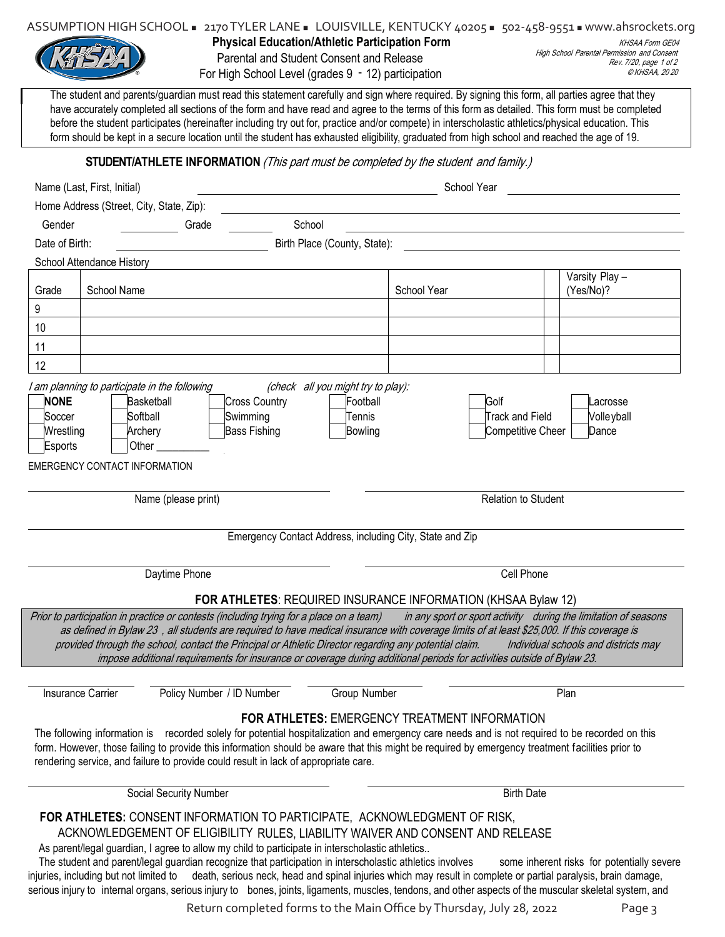| ASSUMPTION HIGH SCHOOL = 2170 TYLER LANE = LOUISVILLE, KENTUCKY 40205 = 502-458-9551 = www.ahsrockets.org |  |  |  |  |  |
|-----------------------------------------------------------------------------------------------------------|--|--|--|--|--|
|-----------------------------------------------------------------------------------------------------------|--|--|--|--|--|



**Physical Education/Athletic Participation Form** Parental and Student Consent and Release

For High School Level (grades 9 - 12) participation

KHSAA Form GE04 High School Parental Permission and Consent Rev. 7/20, page 1 of 2 © KHSAA, 20 20

The student and parents/guardian must read this statement carefully and sign where required. By signing this form, all parties agree that they have accurately completed all sections of the form and have read and agree to the terms of this form as detailed. This form must be completed before the student participates (hereinafter including try out for, practice and/or compete) in interscholastic athletics/physical education. This form should be kept in a secure location until the student has exhausted eligibility, graduated from high school and reached the age of 19.

## **STUDENT/ATHLETE INFORMATION** (This part must be completed by the student and family.)

|                                               | Name (Last, First, Initial)                                                                                                  |                                                                                                                                                                                                             |                                                                     | School Year                                                                                                                                                                                                                                                                                                                                                                                                                                                                                                                                                                                                                                            |                                            |
|-----------------------------------------------|------------------------------------------------------------------------------------------------------------------------------|-------------------------------------------------------------------------------------------------------------------------------------------------------------------------------------------------------------|---------------------------------------------------------------------|--------------------------------------------------------------------------------------------------------------------------------------------------------------------------------------------------------------------------------------------------------------------------------------------------------------------------------------------------------------------------------------------------------------------------------------------------------------------------------------------------------------------------------------------------------------------------------------------------------------------------------------------------------|--------------------------------------------|
|                                               | Home Address (Street, City, State, Zip):                                                                                     |                                                                                                                                                                                                             |                                                                     |                                                                                                                                                                                                                                                                                                                                                                                                                                                                                                                                                                                                                                                        |                                            |
| Gender                                        |                                                                                                                              | School<br>Grade                                                                                                                                                                                             |                                                                     |                                                                                                                                                                                                                                                                                                                                                                                                                                                                                                                                                                                                                                                        |                                            |
| Date of Birth:                                |                                                                                                                              |                                                                                                                                                                                                             | Birth Place (County, State):                                        |                                                                                                                                                                                                                                                                                                                                                                                                                                                                                                                                                                                                                                                        |                                            |
|                                               | School Attendance History                                                                                                    |                                                                                                                                                                                                             |                                                                     |                                                                                                                                                                                                                                                                                                                                                                                                                                                                                                                                                                                                                                                        |                                            |
| Grade                                         | School Name                                                                                                                  |                                                                                                                                                                                                             |                                                                     | School Year                                                                                                                                                                                                                                                                                                                                                                                                                                                                                                                                                                                                                                            | Varsity Play -<br>(Yes/No)?                |
| 9                                             |                                                                                                                              |                                                                                                                                                                                                             |                                                                     |                                                                                                                                                                                                                                                                                                                                                                                                                                                                                                                                                                                                                                                        |                                            |
| 10                                            |                                                                                                                              |                                                                                                                                                                                                             |                                                                     |                                                                                                                                                                                                                                                                                                                                                                                                                                                                                                                                                                                                                                                        |                                            |
| 11                                            |                                                                                                                              |                                                                                                                                                                                                             |                                                                     |                                                                                                                                                                                                                                                                                                                                                                                                                                                                                                                                                                                                                                                        |                                            |
| 12                                            |                                                                                                                              |                                                                                                                                                                                                             |                                                                     |                                                                                                                                                                                                                                                                                                                                                                                                                                                                                                                                                                                                                                                        |                                            |
| <b>NONE</b><br>Soccer<br>Wrestling<br>Esports | I am planning to participate in the following<br>Basketball<br>Softball<br>Archery<br>Other<br>EMERGENCY CONTACT INFORMATION | <b>Cross Country</b><br>Swimming<br><b>Bass Fishing</b>                                                                                                                                                     | (check all you might try to play):<br>Football<br>Tennis<br>Bowling | Golf<br><b>Track and Field</b><br>Competitive Cheer                                                                                                                                                                                                                                                                                                                                                                                                                                                                                                                                                                                                    | Lacrosse<br>Volle yball<br>Dance           |
|                                               | Name (please print)                                                                                                          |                                                                                                                                                                                                             |                                                                     | <b>Relation to Student</b>                                                                                                                                                                                                                                                                                                                                                                                                                                                                                                                                                                                                                             |                                            |
|                                               |                                                                                                                              |                                                                                                                                                                                                             |                                                                     |                                                                                                                                                                                                                                                                                                                                                                                                                                                                                                                                                                                                                                                        |                                            |
|                                               |                                                                                                                              |                                                                                                                                                                                                             |                                                                     | Emergency Contact Address, including City, State and Zip                                                                                                                                                                                                                                                                                                                                                                                                                                                                                                                                                                                               |                                            |
|                                               | Daytime Phone                                                                                                                |                                                                                                                                                                                                             |                                                                     | Cell Phone                                                                                                                                                                                                                                                                                                                                                                                                                                                                                                                                                                                                                                             |                                            |
|                                               |                                                                                                                              |                                                                                                                                                                                                             |                                                                     |                                                                                                                                                                                                                                                                                                                                                                                                                                                                                                                                                                                                                                                        |                                            |
|                                               |                                                                                                                              |                                                                                                                                                                                                             |                                                                     | <b>FOR ATHLETES: REQUIRED INSURANCE INFORMATION (KHSAA Bylaw 12)</b><br>Prior to participation in practice or contests (including trying for a place on a team) in any sport or sport activity during the limitation of seasons<br>as defined in Bylaw 23, all students are required to have medical insurance with coverage limits of at least \$25,000. If this coverage is<br>provided through the school, contact the Principal or Athletic Director regarding any potential claim. Individual schools and districts may<br>impose additional requirements for insurance or coverage during additional periods for activities outside of Bylaw 23. |                                            |
|                                               |                                                                                                                              |                                                                                                                                                                                                             |                                                                     |                                                                                                                                                                                                                                                                                                                                                                                                                                                                                                                                                                                                                                                        |                                            |
| <b>Insurance Carrier</b>                      |                                                                                                                              | Policy Number / ID Number                                                                                                                                                                                   | Group Number                                                        |                                                                                                                                                                                                                                                                                                                                                                                                                                                                                                                                                                                                                                                        | Plan                                       |
|                                               |                                                                                                                              | rendering service, and failure to provide could result in lack of appropriate care.                                                                                                                         |                                                                     | <b>FOR ATHLETES: EMERGENCY TREATMENT INFORMATION</b><br>The following information is recorded solely for potential hospitalization and emergency care needs and is not required to be recorded on this<br>form. However, those failing to provide this information should be aware that this might be required by emergency treatment facilities prior to                                                                                                                                                                                                                                                                                              |                                            |
|                                               | Social Security Number                                                                                                       |                                                                                                                                                                                                             |                                                                     | <b>Birth Date</b>                                                                                                                                                                                                                                                                                                                                                                                                                                                                                                                                                                                                                                      |                                            |
|                                               |                                                                                                                              | As parent/legal guardian, I agree to allow my child to participate in interscholastic athletics<br>The student and parent/legal guardian recognize that participation in interscholastic athletics involves |                                                                     | FOR ATHLETES: CONSENT INFORMATION TO PARTICIPATE, ACKNOWLEDGMENT OF RISK,<br>ACKNOWLEDGEMENT OF ELIGIBILITY RULES, LIABILITY WAIVER AND CONSENT AND RELEASE<br>injuries, including but not limited to death, serious neck, head and spinal injuries which may result in complete or partial paralysis, brain damage,<br>serious injury to internal organs, serious injury to bones, joints, ligaments, muscles, tendons, and other aspects of the muscular skeletal system, and                                                                                                                                                                        | some inherent risks for potentially severe |

Return completed forms to the Main Office by Thursday, July 28, 2022 Page 3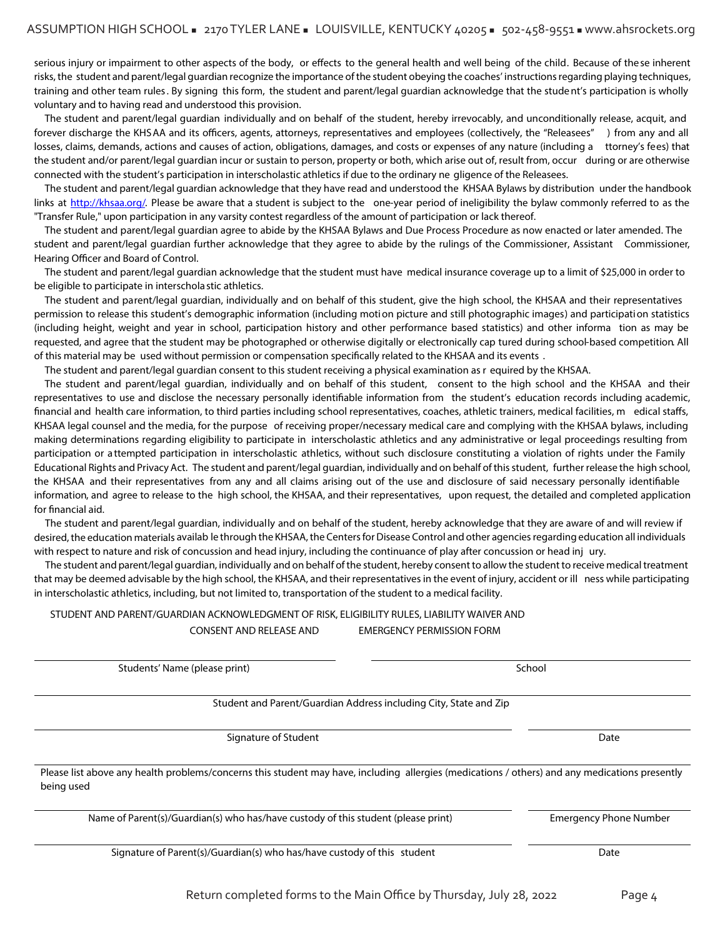serious injury or impairment to other aspects of the body, or effects to the general health and well being of the child. Because of these inherent risks, the student and parent/legal guardian recognize the importance of the student obeying the coaches' instructions regarding playing techniques, training and other team rules . By signing this form, the student and parent/legal guardian acknowledge that the stude nt's participation is wholly voluntary and to having read and understood this provision.

The student and parent/legal guardian individually and on behalf of the student, hereby irrevocably, and unconditionally release, acquit, and forever discharge the KHSAA and its officers, agents, attorneys, representatives and employees (collectively, the "Releasees") from any and all losses, claims, demands, actions and causes of action, obligations, damages, and costs or expenses of any nature (including a ttorney's fees) that the student and/or parent/legal guardian incur or sustain to person, property or both, which arise out of, result from, occur during or are otherwise connected with the student's participation in interscholastic athletics if due to the ordinary ne gligence of the Releasees.

The student and parent/legal guardian acknowledge that they have read and understood the KHSAA Bylaws by distribution under the handbook links at http://khsaa.org/. Please be aware that a student is subject to the one-year period of ineligibility the bylaw commonly referred to as the "Transfer Rule," upon participation in any varsity contest regardless of the amount of participation or lack thereof.

The student and parent/legal guardian agree to abide by the KHSAA Bylaws and Due Process Procedure as now enacted or later amended. The student and parent/legal guardian further acknowledge that they agree to abide by the rulings of the Commissioner, Assistant Commissioner, Hearing Officer and Board of Control.

The student and parent/legal guardian acknowledge that the student must have medical insurance coverage up to a limit of \$25,000 in order to be eligible to participate in interschola stic athletics.

The student and parent/legal guardian, individually and on behalf of this student, give the high school, the KHSAA and their representatives permission to release this student's demographic information (including moti on picture and still photographic images) and participati on statistics (including height, weight and year in school, participation history and other performance based statistics) and other informa tion as may be requested, and agree that the student may be photographed or otherwise digitally or electronically cap tured during school-based competition. All of this material may be used without permission or compensation specifically related to the KHSAA and its events.

The student and parent/legal guardian consent to this student receiving a physical examination as r equired by the KHSAA.

The student and parent/legal guardian, individually and on behalf of this student, consent to the high school and the KHSAA and their representatives to use and disclose the necessary personally identifiable information from the student's education records including academic, financial and health care information, to third parties including school representatives, coaches, athletic trainers, medical facilities, medical staffs, KHSAA legal counsel and the media, for the purpose of receiving proper/necessary medical care and complying with the KHSAA bylaws, including making determinations regarding eligibility to participate in interscholastic athletics and any administrative or legal proceedings resulting from participation or attempted participation in interscholastic athletics, without such disclosure constituting a violation of rights under the Family Educational Rights and Privacy Act. The student and parent/legal guardian, individually and on behalf of this student, further release the high school, the KHSAA and their representatives from any and all claims arising out of the use and disclosure of said necessary personally identifiable information, and agree to release to the high school, the KHSAA, and their representatives, upon request, the detailed and completed application for financial aid.

The student and parent/legal guardian, individually and on behalf of the student, hereby acknowledge that they are aware of and will review if desired, the education materials availab le through the KHSAA, the Centers for Disease Control and other agencies regarding education all individuals with respect to nature and risk of concussion and head injury, including the continuance of play after concussion or head inj ury.

The student and parent/legal guardian, individually and on behalf of the student, hereby consent to allow the student to receive medical treatment that may be deemed advisable by the high school, the KHSAA, and their representatives in the event of injury, accident or ill ness while participating in interscholastic athletics, including, but not limited to, transportation of the student to a medical facility.

## STUDENT AND PARENT/GUARDIAN ACKNOWLEDGMENT OF RISK, ELIGIBILITY RULES, LIABILITY WAIVER AND CONSENT AND RELEASE AND EMERGENCY PERMISSION FORM

| Students' Name (please print)                                                                                                                                | School                        |
|--------------------------------------------------------------------------------------------------------------------------------------------------------------|-------------------------------|
| Student and Parent/Guardian Address including City, State and Zip                                                                                            |                               |
| Signature of Student                                                                                                                                         | Date                          |
| Please list above any health problems/concerns this student may have, including allergies (medications / others) and any medications presently<br>being used |                               |
| Name of Parent(s)/Guardian(s) who has/have custody of this student (please print)                                                                            | <b>Emergency Phone Number</b> |
| Signature of Parent(s)/Guardian(s) who has/have custody of this student                                                                                      | Date                          |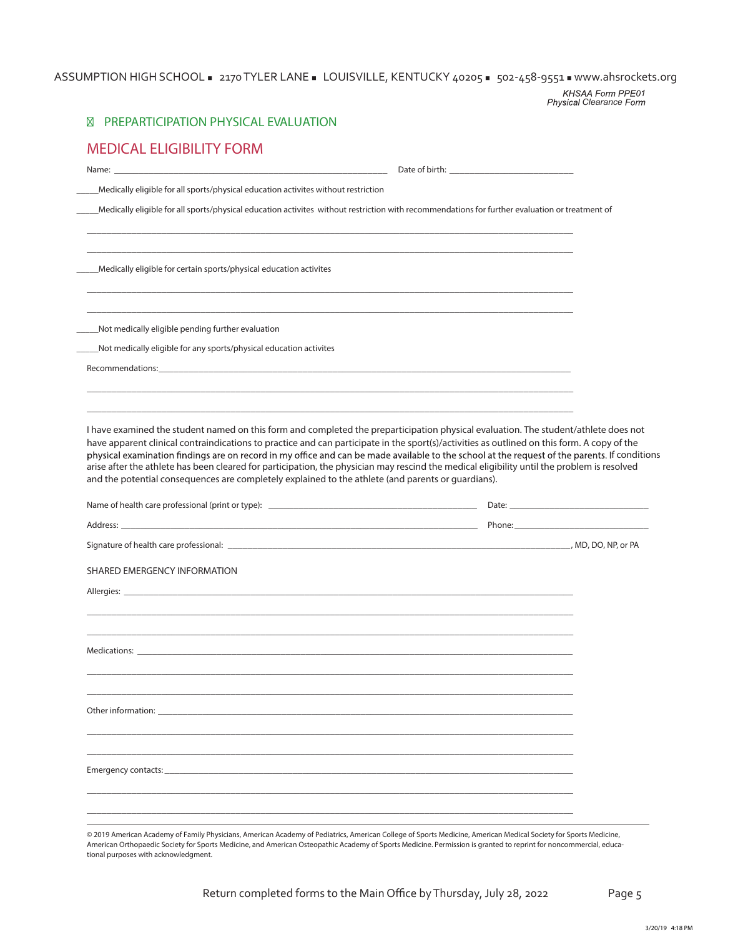# ASSUMPTION HIGH SCHOOL = 2170 TYLER LANE = LOUISVILLE, KENTUCKY 40205 = 502-458-9551 = www.ahsrockets.org

*1 Clearance*

| PREPARTICIPATION PHYSICAL EVALUATION<br>⊠                                                                                                                                                                                                                                                                                                                                                          |                                                                                                                  |  |
|----------------------------------------------------------------------------------------------------------------------------------------------------------------------------------------------------------------------------------------------------------------------------------------------------------------------------------------------------------------------------------------------------|------------------------------------------------------------------------------------------------------------------|--|
| <b>MEDICAL ELIGIBILITY FORM</b>                                                                                                                                                                                                                                                                                                                                                                    |                                                                                                                  |  |
|                                                                                                                                                                                                                                                                                                                                                                                                    |                                                                                                                  |  |
| Medically eligible for all sports/physical education activites without restriction                                                                                                                                                                                                                                                                                                                 |                                                                                                                  |  |
| Medically eligible for all sports/physical education activites without restriction with recommendations for further evaluation or treatment of                                                                                                                                                                                                                                                     |                                                                                                                  |  |
| Medically eligible for certain sports/physical education activites                                                                                                                                                                                                                                                                                                                                 |                                                                                                                  |  |
|                                                                                                                                                                                                                                                                                                                                                                                                    |                                                                                                                  |  |
| Not medically eligible pending further evaluation                                                                                                                                                                                                                                                                                                                                                  | and the control of the control of the control of the control of the control of the control of the control of the |  |
| Not medically eligible for any sports/physical education activites                                                                                                                                                                                                                                                                                                                                 |                                                                                                                  |  |
|                                                                                                                                                                                                                                                                                                                                                                                                    |                                                                                                                  |  |
|                                                                                                                                                                                                                                                                                                                                                                                                    |                                                                                                                  |  |
| I have examined the student named on this form and completed the preparticipation physical evaluation. The student/athlete does not<br>have apparent clinical contraindications to practice and can participate in the sport(s)/activities as outlined on this form. A copy of the                                                                                                                 |                                                                                                                  |  |
| physical examination findings are on record in my office and can be made available to the school at the request of the parents. If conditions<br>arise after the athlete has been cleared for participation, the physician may rescind the medical eligibility until the problem is resolved<br>and the potential consequences are completely explained to the athlete (and parents or guardians). |                                                                                                                  |  |
|                                                                                                                                                                                                                                                                                                                                                                                                    |                                                                                                                  |  |
|                                                                                                                                                                                                                                                                                                                                                                                                    |                                                                                                                  |  |
|                                                                                                                                                                                                                                                                                                                                                                                                    |                                                                                                                  |  |
|                                                                                                                                                                                                                                                                                                                                                                                                    |                                                                                                                  |  |
|                                                                                                                                                                                                                                                                                                                                                                                                    |                                                                                                                  |  |
| Name of health care professional (print or type): _______________________________<br>SHARED EMERGENCY INFORMATION<br>Allergies: North Communication of the Communication of the Communication of the Communication of the Communication of the Communication of the Communication of the Communication of the Communication of the Communication of                                                |                                                                                                                  |  |
|                                                                                                                                                                                                                                                                                                                                                                                                    |                                                                                                                  |  |
| Other information: University of the contract of the contract of the contract of the contract of the contract of the contract of the contract of the contract of the contract of the contract of the contract of the contract                                                                                                                                                                      |                                                                                                                  |  |
|                                                                                                                                                                                                                                                                                                                                                                                                    |                                                                                                                  |  |
|                                                                                                                                                                                                                                                                                                                                                                                                    |                                                                                                                  |  |

American Orthopaedic Society for Sports Medicine, and American Osteopathic Academy of Sports Medicine. Permission is granted to reprint for noncommercial, educational purposes with acknowledgment.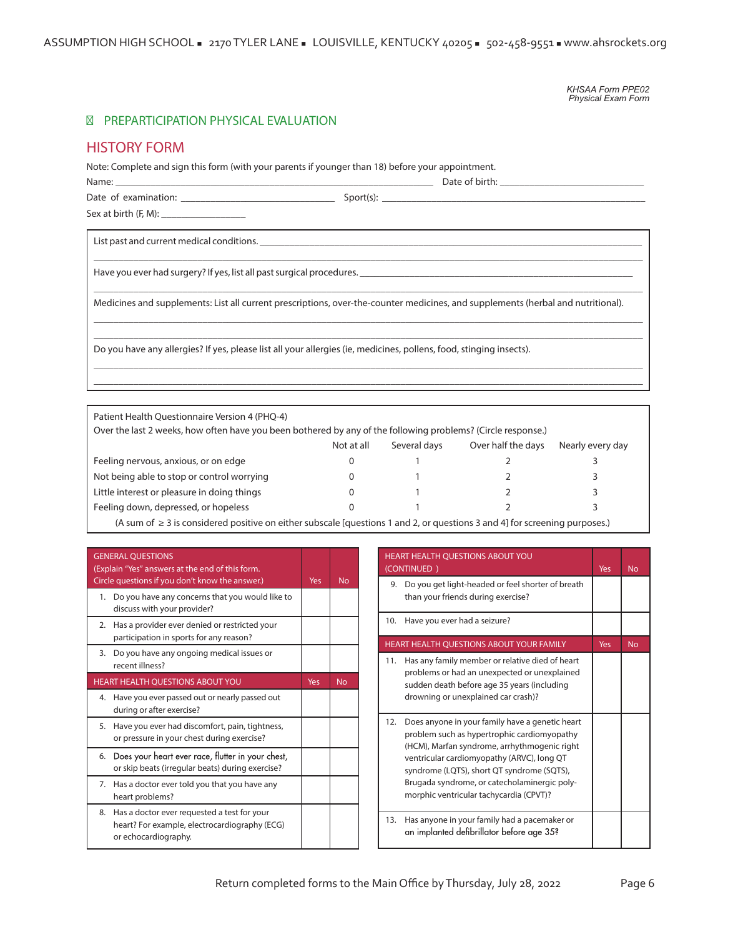*KHSAA Form PPE02 Physical Exam Form*

## PREPARTICIPATION PHYSICAL EVALUATION

# **HISTORY FORM**

Note: Complete and sign this form (with your parents if younger than 18) before your appointment.

Name: \_\_\_\_\_\_\_\_\_\_\_\_\_\_\_\_\_\_\_\_\_\_\_\_\_\_\_\_\_\_\_\_\_\_\_\_\_\_\_\_\_\_\_\_\_\_\_\_\_\_\_\_\_\_\_\_\_\_\_\_\_\_\_\_ Date of birth: \_\_\_\_\_\_\_\_\_\_\_\_\_\_\_\_\_\_\_\_\_\_\_\_\_\_\_\_\_ Date of examination: \_\_\_\_\_\_\_\_\_\_\_\_\_\_\_\_\_\_\_\_\_\_\_\_\_\_\_\_\_\_\_ Sport(s): \_\_\_\_\_\_\_\_\_\_\_\_\_\_\_\_\_\_\_\_\_\_\_\_\_\_\_\_\_\_\_\_\_\_\_\_\_\_\_\_\_\_\_\_\_\_\_\_\_\_\_\_\_

\_\_\_\_\_\_\_\_\_\_\_\_\_\_\_\_\_\_\_\_\_\_\_\_\_\_\_\_\_\_\_\_\_\_\_\_\_\_\_\_\_\_\_\_\_\_\_\_\_\_\_\_\_\_\_\_\_\_\_\_\_\_\_\_\_\_\_\_\_\_\_\_\_\_\_\_\_\_\_\_\_\_\_\_\_\_\_\_\_\_\_\_\_\_\_\_\_\_\_\_\_\_\_\_\_\_\_\_\_\_\_

 $\_$  , and the set of the set of the set of the set of the set of the set of the set of the set of the set of the set of the set of the set of the set of the set of the set of the set of the set of the set of the set of th

 $\_$  , and the set of the set of the set of the set of the set of the set of the set of the set of the set of the set of the set of the set of the set of the set of the set of the set of the set of the set of the set of th  $\_$  , and the set of the set of the set of the set of the set of the set of the set of the set of the set of the set of the set of the set of the set of the set of the set of the set of the set of the set of the set of th

 $\_$  , and the set of the set of the set of the set of the set of the set of the set of the set of the set of the set of the set of the set of the set of the set of the set of the set of the set of the set of the set of th  $\_$  , and the set of the set of the set of the set of the set of the set of the set of the set of the set of the set of the set of the set of the set of the set of the set of the set of the set of the set of the set of th

Sex at birth (F, M): \_\_\_\_\_\_\_\_\_\_\_\_\_\_\_\_\_

List past and current medical conditions.

Have you ever had surgery? If yes, list all past surgical procedures. \_\_\_\_\_\_\_\_\_\_

Medicines and supplements: List all current prescriptions, over-the-counter medicines, and supplements (herbal and nutritional).

Do you have any allergies? If yes, please list all your allergies (ie, medicines, pollens, food, stinging insects).

| Not at all | Several days | Over half the days | Nearly every day                                                                                             |
|------------|--------------|--------------------|--------------------------------------------------------------------------------------------------------------|
|            |              |                    |                                                                                                              |
|            |              |                    |                                                                                                              |
|            |              |                    |                                                                                                              |
|            |              |                    |                                                                                                              |
|            |              |                    | Over the last 2 weeks, how often have you been bothered by any of the following problems? (Circle response.) |

(A sum of ≥ 3 is considered positive on either subscale [questions 1 and 2, or questions 3 and 4] for screening purposes.)

|    | <b>GENERAL QUESTIONS</b><br>(Explain "Yes" answers at the end of this form.<br>Circle questions if you don't know the answer.) | Yes | <b>No</b> |
|----|--------------------------------------------------------------------------------------------------------------------------------|-----|-----------|
| 1. | Do you have any concerns that you would like to<br>discuss with your provider?                                                 |     |           |
| 2. | Has a provider ever denied or restricted your<br>participation in sports for any reason?                                       |     |           |
| 3. | Do you have any ongoing medical issues or<br>recent illness?                                                                   |     |           |
|    | HEART HEALTH QUESTIONS ABOUT YOU                                                                                               | Yes | <b>No</b> |
| 4. | Have you ever passed out or nearly passed out<br>during or after exercise?                                                     |     |           |
| 5. | Have you ever had discomfort, pain, tightness,<br>or pressure in your chest during exercise?                                   |     |           |
| 6. | Does your heart ever race, flutter in your chest,<br>or skip beats (irregular beats) during exercise?                          |     |           |
| 7. | Has a doctor ever told you that you have any<br>heart problems?                                                                |     |           |
| 8. | Has a doctor ever requested a test for your<br>heart? For example, electrocardiography (ECG)<br>or echocardiography.           |     |           |

| HEART HEALTH QUESTIONS ABOUT YOU<br>(CONTINUED)                                                                                                                                                                                                                                                                                              | Yes | <b>No</b> |
|----------------------------------------------------------------------------------------------------------------------------------------------------------------------------------------------------------------------------------------------------------------------------------------------------------------------------------------------|-----|-----------|
| Do you get light-headed or feel shorter of breath<br>9.<br>than your friends during exercise?                                                                                                                                                                                                                                                |     |           |
| 10.<br>Have you ever had a seizure?                                                                                                                                                                                                                                                                                                          |     |           |
| <b>HEART HEALTH OUESTIONS ABOUT YOUR FAMILY</b>                                                                                                                                                                                                                                                                                              | Yes | <b>No</b> |
| Has any family member or relative died of heart<br>11.<br>problems or had an unexpected or unexplained<br>sudden death before age 35 years (including<br>drowning or unexplained car crash)?                                                                                                                                                 |     |           |
| 12.<br>Does anyone in your family have a genetic heart<br>problem such as hypertrophic cardiomyopathy<br>(HCM), Marfan syndrome, arrhythmogenic right<br>ventricular cardiomyopathy (ARVC), long QT<br>syndrome (LQTS), short QT syndrome (SQTS),<br>Brugada syndrome, or catecholaminergic poly-<br>morphic ventricular tachycardia (CPVT)? |     |           |
| Has anyone in your family had a pacemaker or<br>13.<br>an implanted defibrillator before age 35?                                                                                                                                                                                                                                             |     |           |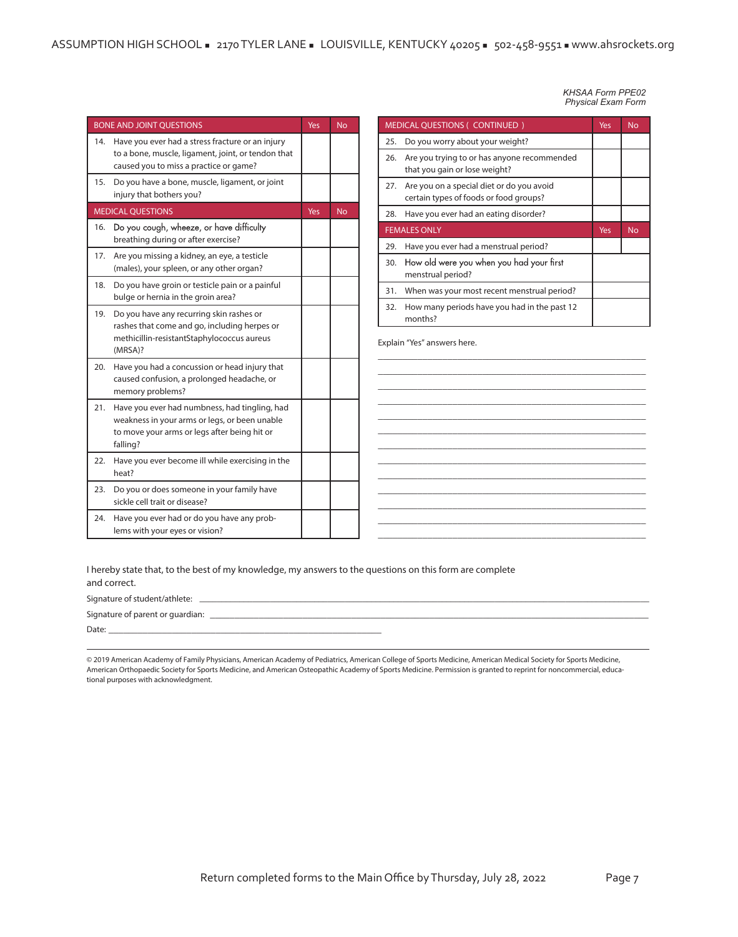| <b>BONE AND JOINT QUESTIONS</b> | Yes                                                                                                                                                        | <b>No</b> |           |
|---------------------------------|------------------------------------------------------------------------------------------------------------------------------------------------------------|-----------|-----------|
| 14.                             | Have you ever had a stress fracture or an injury<br>to a bone, muscle, ligament, joint, or tendon that<br>caused you to miss a practice or game?           |           |           |
| 15.                             | Do you have a bone, muscle, ligament, or joint<br>injury that bothers you?                                                                                 |           |           |
|                                 | <b>MEDICAL OUESTIONS</b>                                                                                                                                   | Yes       | <b>No</b> |
| 16.                             | Do you cough, wheeze, or have difficulty<br>breathing during or after exercise?                                                                            |           |           |
| 17.                             | Are you missing a kidney, an eye, a testicle<br>(males), your spleen, or any other organ?                                                                  |           |           |
| 18.                             | Do you have groin or testicle pain or a painful<br>bulge or hernia in the groin area?                                                                      |           |           |
| 19.                             | Do you have any recurring skin rashes or<br>rashes that come and go, including herpes or<br>methicillin-resistantStaphylococcus aureus<br>(MRSA)?          |           |           |
| 20.                             | Have you had a concussion or head injury that<br>caused confusion, a prolonged headache, or<br>memory problems?                                            |           |           |
| 21.                             | Have you ever had numbness, had tingling, had<br>weakness in your arms or legs, or been unable<br>to move your arms or legs after being hit or<br>falling? |           |           |
| 22.                             | Have you ever become ill while exercising in the<br>heat?                                                                                                  |           |           |
| 23.                             | Do you or does someone in your family have<br>sickle cell trait or disease?                                                                                |           |           |
| 24.                             | Have you ever had or do you have any prob-<br>lems with your eyes or vision?                                                                               |           |           |

|     | <b>Physical Exam Form</b>                                                           |     |           |  |  |  |
|-----|-------------------------------------------------------------------------------------|-----|-----------|--|--|--|
|     | <b>MEDICAL QUESTIONS ( CONTINUED )</b><br>Yes<br><b>No</b>                          |     |           |  |  |  |
| 25. | Do you worry about your weight?                                                     |     |           |  |  |  |
| 26. | Are you trying to or has anyone recommended<br>that you gain or lose weight?        |     |           |  |  |  |
| 27. | Are you on a special diet or do you avoid<br>certain types of foods or food groups? |     |           |  |  |  |
| 28. | Have you ever had an eating disorder?                                               |     |           |  |  |  |
|     | <b>FEMALES ONLY</b>                                                                 | Yes | <b>No</b> |  |  |  |
| 29. | Have you ever had a menstrual period?                                               |     |           |  |  |  |
| 30. | How old were you when you had your first<br>menstrual period?                       |     |           |  |  |  |
| 31. | When was your most recent menstrual period?                                         |     |           |  |  |  |
| 32. | How many periods have you had in the past 12<br>months?                             |     |           |  |  |  |

*KHSAA Form PPE02*

\_\_\_\_\_\_\_\_\_\_\_\_\_\_\_\_\_\_\_\_\_\_\_\_\_\_\_\_\_\_\_\_\_\_\_\_\_\_\_\_\_\_\_\_\_\_\_\_\_\_\_\_\_\_ \_\_\_\_\_\_\_\_\_\_\_\_\_\_\_\_\_\_\_\_\_\_\_\_\_\_\_\_\_\_\_\_\_\_\_\_\_\_\_\_\_\_\_\_\_\_\_\_\_\_\_\_\_\_ \_\_\_\_\_\_\_\_\_\_\_\_\_\_\_\_\_\_\_\_\_\_\_\_\_\_\_\_\_\_\_\_\_\_\_\_\_\_\_\_\_\_\_\_\_\_\_\_\_\_\_\_\_\_ \_\_\_\_\_\_\_\_\_\_\_\_\_\_\_\_\_\_\_\_\_\_\_\_\_\_\_\_\_\_\_\_\_\_\_\_\_\_\_\_\_\_\_\_\_\_\_\_\_\_\_\_\_\_ \_\_\_\_\_\_\_\_\_\_\_\_\_\_\_\_\_\_\_\_\_\_\_\_\_\_\_\_\_\_\_\_\_\_\_\_\_\_\_\_\_\_\_\_\_\_\_\_\_\_\_\_\_\_ \_\_\_\_\_\_\_\_\_\_\_\_\_\_\_\_\_\_\_\_\_\_\_\_\_\_\_\_\_\_\_\_\_\_\_\_\_\_\_\_\_\_\_\_\_\_\_\_\_\_\_\_\_\_ \_\_\_\_\_\_\_\_\_\_\_\_\_\_\_\_\_\_\_\_\_\_\_\_\_\_\_\_\_\_\_\_\_\_\_\_\_\_\_\_\_\_\_\_\_\_\_\_\_\_\_\_\_\_ \_\_\_\_\_\_\_\_\_\_\_\_\_\_\_\_\_\_\_\_\_\_\_\_\_\_\_\_\_\_\_\_\_\_\_\_\_\_\_\_\_\_\_\_\_\_\_\_\_\_\_\_\_\_ \_\_\_\_\_\_\_\_\_\_\_\_\_\_\_\_\_\_\_\_\_\_\_\_\_\_\_\_\_\_\_\_\_\_\_\_\_\_\_\_\_\_\_\_\_\_\_\_\_\_\_\_\_\_ \_\_\_\_\_\_\_\_\_\_\_\_\_\_\_\_\_\_\_\_\_\_\_\_\_\_\_\_\_\_\_\_\_\_\_\_\_\_\_\_\_\_\_\_\_\_\_\_\_\_\_\_\_\_ \_\_\_\_\_\_\_\_\_\_\_\_\_\_\_\_\_\_\_\_\_\_\_\_\_\_\_\_\_\_\_\_\_\_\_\_\_\_\_\_\_\_\_\_\_\_\_\_\_\_\_\_\_\_ \_\_\_\_\_\_\_\_\_\_\_\_\_\_\_\_\_\_\_\_\_\_\_\_\_\_\_\_\_\_\_\_\_\_\_\_\_\_\_\_\_\_\_\_\_\_\_\_\_\_\_\_\_\_ \_\_\_\_\_\_\_\_\_\_\_\_\_\_\_\_\_\_\_\_\_\_\_\_\_\_\_\_\_\_\_\_\_\_\_\_\_\_\_\_\_\_\_\_\_\_\_\_\_\_\_\_\_\_

**Explain "Yes" answers here.**

30.

**I hereby state that, to the best of my knowledge, my answers to the questions on this form are complete and correct.**

Signature of student/athlete: \_

Signature of parent or guardian: \_\_\_\_\_\_\_\_\_\_\_\_\_\_\_\_\_\_\_\_\_\_\_\_\_\_\_\_\_\_\_\_\_\_\_\_\_\_\_\_\_\_\_\_\_\_\_\_\_\_\_\_\_\_\_\_\_\_\_\_\_\_\_\_\_\_\_\_\_\_\_\_\_\_\_\_\_\_\_\_\_\_\_\_\_\_\_\_\_\_

Date: \_\_\_\_\_\_\_\_\_\_\_\_\_\_\_\_\_\_\_\_\_\_\_\_\_\_\_\_\_\_\_\_\_\_\_\_\_\_\_\_\_\_\_\_\_\_\_\_\_\_\_\_\_\_\_\_

© 2019 American Academy of Family Physicians, American Academy of Pediatrics, American College of Sports Medicine, American Medical Society for Sports Medicine, American Orthopaedic Society for Sports Medicine, and American Osteopathic Academy of Sports Medicine. Permission is granted to reprint for noncommercial, educational purposes with acknowledgment.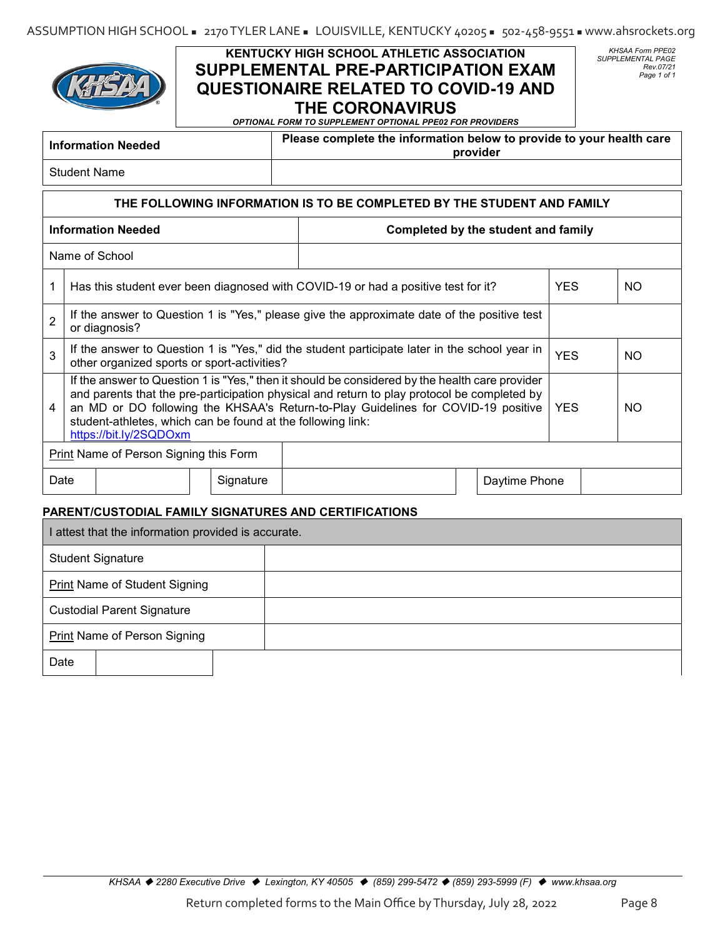

# **KENTUCKY HIGH SCHOOL ATHLETIC ASSOCIATION SUPPLEMENTAL PRE-PARTICIPATION EXAM QUESTIONAIRE RELATED TO COVID-19 AND THE CORONAVIRUS**

*KHSAA Form PPE02 SUPPLEMENTAL PAGE Rev.07/21 Page 1 of 1*

*OPTIONAL FORM TO SUPPLEMENT OPTIONAL PPE02 FOR PROVIDERS*

| <b>Information Needed</b>                                              | Please complete the information below to provide to your health care<br>provider |  |  |  |
|------------------------------------------------------------------------|----------------------------------------------------------------------------------|--|--|--|
| <b>Student Name</b>                                                    |                                                                                  |  |  |  |
| THE FOLLOWING INFORMATION IS TO BE COMPLETED BY THE STUDENT AND FAMILY |                                                                                  |  |  |  |

| <b>Information Needed</b> |                                                                  |                                                                                                            |                                                                                                                                                                                                                                                                                                                                                                                                                                                                                                                                                                         |                                                      |
|---------------------------|------------------------------------------------------------------|------------------------------------------------------------------------------------------------------------|-------------------------------------------------------------------------------------------------------------------------------------------------------------------------------------------------------------------------------------------------------------------------------------------------------------------------------------------------------------------------------------------------------------------------------------------------------------------------------------------------------------------------------------------------------------------------|------------------------------------------------------|
|                           |                                                                  |                                                                                                            |                                                                                                                                                                                                                                                                                                                                                                                                                                                                                                                                                                         |                                                      |
|                           | <b>YES</b>                                                       | NO.                                                                                                        |                                                                                                                                                                                                                                                                                                                                                                                                                                                                                                                                                                         |                                                      |
| or diagnosis?             |                                                                  |                                                                                                            |                                                                                                                                                                                                                                                                                                                                                                                                                                                                                                                                                                         |                                                      |
|                           |                                                                  |                                                                                                            | <b>YES</b>                                                                                                                                                                                                                                                                                                                                                                                                                                                                                                                                                              | NO.                                                  |
| https://bit.ly/2SQDOxm    |                                                                  |                                                                                                            | <b>YES</b>                                                                                                                                                                                                                                                                                                                                                                                                                                                                                                                                                              | NO.                                                  |
|                           |                                                                  |                                                                                                            |                                                                                                                                                                                                                                                                                                                                                                                                                                                                                                                                                                         |                                                      |
| Signature                 |                                                                  |                                                                                                            |                                                                                                                                                                                                                                                                                                                                                                                                                                                                                                                                                                         |                                                      |
|                           | Name of School<br>Print Name of Person Signing this Form<br>Date | other organized sports or sport-activities?<br>student-athletes, which can be found at the following link: | Has this student ever been diagnosed with COVID-19 or had a positive test for it?<br>If the answer to Question 1 is "Yes," please give the approximate date of the positive test<br>If the answer to Question 1 is "Yes," did the student participate later in the school year in<br>If the answer to Question 1 is "Yes," then it should be considered by the health care provider<br>and parents that the pre-participation physical and return to play protocol be completed by<br>an MD or DO following the KHSAA's Return-to-Play Guidelines for COVID-19 positive | Completed by the student and family<br>Daytime Phone |

## **PARENT/CUSTODIAL FAMILY SIGNATURES AND CERTIFICATIONS**

| I attest that the information provided is accurate. |  |  |  |  |
|-----------------------------------------------------|--|--|--|--|
| <b>Student Signature</b>                            |  |  |  |  |
| <b>Print Name of Student Signing</b>                |  |  |  |  |
| <b>Custodial Parent Signature</b>                   |  |  |  |  |
| <b>Print Name of Person Signing</b>                 |  |  |  |  |
| Date                                                |  |  |  |  |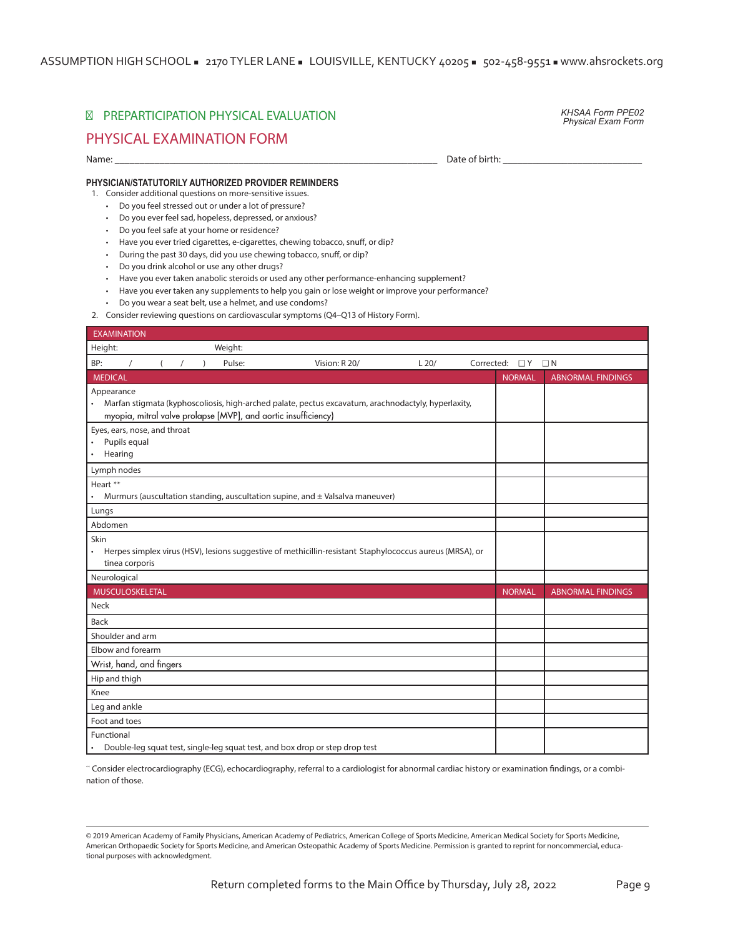ASSUMPTION HIGH SCHOOL = 2170 TYLER LANE = LOUISVILLE, KENTUCKY 40205 = 502-458-9551 = www.ahsrockets.org

# PREPARTICIPATION PHYSICAL EVALUATION

*KHSAA Form PPE02 Physical Exam Form* 

# **PHYSICAL EXAMINATION FORM**

Name: \_\_\_\_\_\_\_\_\_\_\_\_\_\_\_\_\_\_\_\_\_\_\_\_\_\_\_\_\_\_\_\_\_\_\_\_\_\_\_\_\_\_\_\_\_\_\_\_\_\_\_\_\_\_\_\_\_\_\_\_\_\_\_\_\_ Date of birth: \_\_\_\_\_\_\_\_\_\_\_\_\_\_\_\_\_\_\_\_\_\_\_\_\_\_\_\_

#### **PHYSICIAN/STATUTORILY AUTHORIZED PROVIDER REMINDERS**

1. Consider additional questions on more-sensitive issues.

- Do you feel stressed out or under a lot of pressure?
- Do you ever feel sad, hopeless, depressed, or anxious?
- Do you feel safe at your home or residence?
- Have you ever tried cigarettes, e-cigarettes, chewing tobacco, snuff, or dip?
- During the past 30 days, did you use chewing tobacco, snuff, or dip?
- Do you drink alcohol or use any other drugs?
- Have you ever taken anabolic steroids or used any other performance-enhancing supplement?
- Have you ever taken any supplements to help you gain or lose weight or improve your performance?
- Do you wear a seat belt, use a helmet, and use condoms?
- 2. Consider reviewing questions on cardiovascular symptoms (Q4–Q13 of History Form).

| <b>EXAMINATION</b>                                                                                                                                                                               |                     |               |                          |
|--------------------------------------------------------------------------------------------------------------------------------------------------------------------------------------------------|---------------------|---------------|--------------------------|
| Height:<br>Weight:                                                                                                                                                                               |                     |               |                          |
| BP:<br>$\prime$<br>$\sqrt{ }$<br>Pulse:<br>Vision: R 20/<br>L20/                                                                                                                                 | Corrected: $\Box Y$ |               | $\Box N$                 |
| <b>MEDICAL</b>                                                                                                                                                                                   |                     | <b>NORMAL</b> | <b>ABNORMAL FINDINGS</b> |
| Appearance<br>Marfan stigmata (kyphoscoliosis, high-arched palate, pectus excavatum, arachnodactyly, hyperlaxity,<br>$\bullet$<br>myopia, mitral valve prolapse [MVP], and aortic insufficiency) |                     |               |                          |
| Eyes, ears, nose, and throat<br>Pupils equal<br>Hearing<br>$\bullet$                                                                                                                             |                     |               |                          |
| Lymph nodes                                                                                                                                                                                      |                     |               |                          |
| Heart **<br>Murmurs (auscultation standing, auscultation supine, and ± Valsalva maneuver)                                                                                                        |                     |               |                          |
| Lungs                                                                                                                                                                                            |                     |               |                          |
| Abdomen                                                                                                                                                                                          |                     |               |                          |
| Skin<br>Herpes simplex virus (HSV), lesions suggestive of methicillin-resistant Staphylococcus aureus (MRSA), or<br>$\bullet$<br>tinea corporis                                                  |                     |               |                          |
| Neurological                                                                                                                                                                                     |                     |               |                          |
| <b>MUSCULOSKELETAL</b>                                                                                                                                                                           |                     | <b>NORMAL</b> | <b>ABNORMAL FINDINGS</b> |
| <b>Neck</b>                                                                                                                                                                                      |                     |               |                          |
| <b>Back</b>                                                                                                                                                                                      |                     |               |                          |
| Shoulder and arm                                                                                                                                                                                 |                     |               |                          |
| Elbow and forearm                                                                                                                                                                                |                     |               |                          |
| Wrist, hand, and fingers                                                                                                                                                                         |                     |               |                          |
| Hip and thigh                                                                                                                                                                                    |                     |               |                          |
| Knee                                                                                                                                                                                             |                     |               |                          |
| Leg and ankle                                                                                                                                                                                    |                     |               |                          |
| Foot and toes                                                                                                                                                                                    |                     |               |                          |
| Functional<br>Double-leg squat test, single-leg squat test, and box drop or step drop test                                                                                                       |                     |               |                          |

\*\* Consider electrocardiography (ECG), echocardiography, referral to a cardiologist for abnormal cardiac history or examination ndings, or a combination of those.

© 2019 American Academy of Family Physicians, American Academy of Pediatrics, American College of Sports Medicine, American Medical Society for Sports Medicine, American Orthopaedic Society for Sports Medicine, and American Osteopathic Academy of Sports Medicine. Permission is granted to reprint for noncommercial, educational purposes with acknowledgment.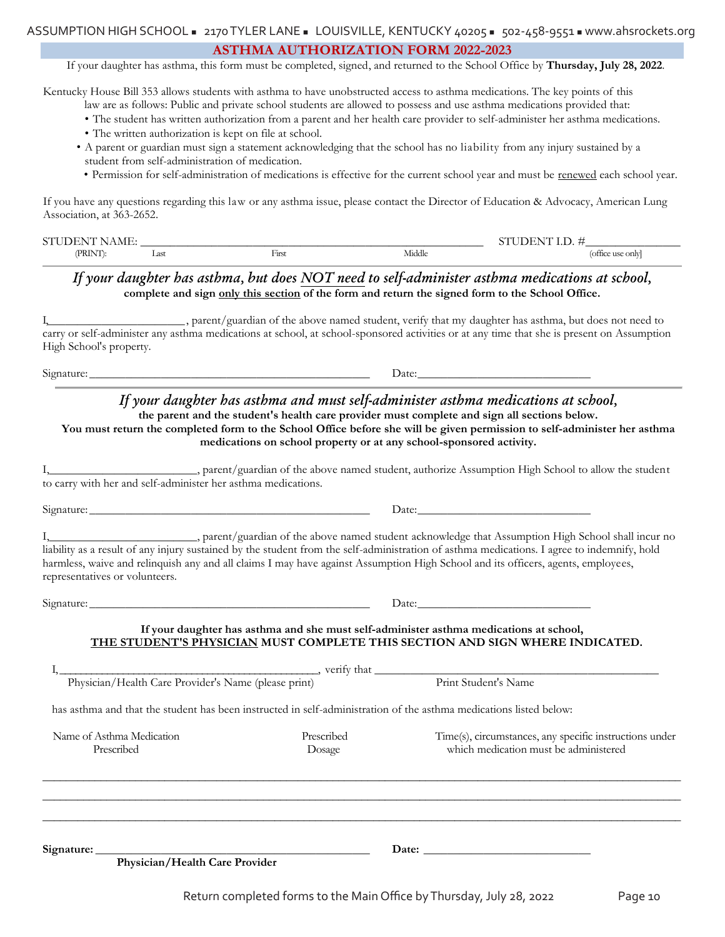#### **ASTHMA AUTHORIZATION FORM 2022-2023**

If your daughter has asthma, this form must be completed, signed, and returned to the School Office by **Thursday, July 28, 2022**.

Kentucky House Bill 353 allows students with asthma to have unobstructed access to asthma medications. The key points of this

- law are as follows: Public and private school students are allowed to possess and use asthma medications provided that:
- The student has written authorization from a parent and her health care provider to self-administer her asthma medications.
- The written authorization is kept on file at school.
- A parent or guardian must sign a statement acknowledging that the school has no liability from any injury sustained by a student from self-administration of medication.
- Permission for self-administration of medications is effective for the current school year and must be renewed each school year.

If you have any questions regarding this law or any asthma issue, please contact the Director of Education & Advocacy, American Lung Association, at 363-2652.

| $\sim$ $\sim$<br>$\alpha$ ivi Hr.<br>N<br>. |                      |          |        | $\sim$               |
|---------------------------------------------|----------------------|----------|--------|----------------------|
| <b>(PRINT)</b>                              | $\sim$<br>. .<br>$-$ | <br>$ -$ | Middle | . onlyl<br>`use<br>. |

# *If your daughter has asthma, but does NOT need to self-administer asthma medications at school,*  **complete and sign only this section of the form and return the signed form to the School Office.**

I,\_\_\_\_\_\_\_\_\_\_\_\_\_\_\_\_\_\_\_\_\_\_\_, parent/guardian of the above named student, verify that my daughter has asthma, but does not need to carry or self-administer any asthma medications at school, at school-sponsored activities or at any time that she is present on Assumption High School's property.

Signature: \_\_\_\_\_\_\_\_\_\_\_\_\_\_\_\_\_\_\_\_\_\_\_\_\_\_\_\_\_\_\_\_\_\_\_\_\_\_\_\_\_\_\_\_\_\_\_ Date:\_\_\_\_\_\_\_\_\_\_\_\_\_\_\_\_\_\_\_\_\_\_\_\_\_\_\_\_\_

# *If your daughter has asthma and must self-administer asthma medications at school,*

**the parent and the student's health care provider must complete and sign all sections below.** 

**You must return the completed form to the School Office before she will be given permission to self-administer her asthma medications on school property or at any school-sponsored activity.**

I,\_\_\_\_\_\_\_\_\_\_\_\_\_\_\_\_\_\_\_\_\_\_\_\_\_, parent/guardian of the above named student, authorize Assumption High School to allow the student to carry with her and self-administer her asthma medications.

Signature: \_\_\_\_\_\_\_\_\_\_\_\_\_\_\_\_\_\_\_\_\_\_\_\_\_\_\_\_\_\_\_\_\_\_\_\_\_\_\_\_\_\_\_\_\_\_\_ Date:\_\_\_\_\_\_\_\_\_\_\_\_\_\_\_\_\_\_\_\_\_\_\_\_\_\_\_\_\_

I, parent/guardian of the above named student acknowledge that Assumption High School shall incur no liability as a result of any injury sustained by the student from the self-administration of asthma medications. I agree to indemnify, hold harmless, waive and relinquish any and all claims I may have against Assumption High School and its officers, agents, employees, representatives or volunteers.

Signature: \_\_\_\_\_\_\_\_\_\_\_\_\_\_\_\_\_\_\_\_\_\_\_\_\_\_\_\_\_\_\_\_\_\_\_\_\_\_\_\_\_\_\_\_\_\_\_ Date:\_\_\_\_\_\_\_\_\_\_\_\_\_\_\_\_\_\_\_\_\_\_\_\_\_\_\_\_\_

## **If your daughter has asthma and she must self-administer asthma medications at school, THE STUDENT'S PHYSICIAN MUST COMPLETE THIS SECTION AND SIGN WHERE INDICATED.**

| Physician/Health Care Provider's Name (please print)                                                               |            | Print Student's Name                                    |  |  |
|--------------------------------------------------------------------------------------------------------------------|------------|---------------------------------------------------------|--|--|
| has asthma and that the student has been instructed in self-administration of the asthma medications listed below: |            |                                                         |  |  |
| Name of Asthma Medication                                                                                          | Prescribed | Time(s), circumstances, any specific instructions under |  |  |
| Prescribed                                                                                                         | Dosage     | which medication must be administered                   |  |  |
|                                                                                                                    |            |                                                         |  |  |
|                                                                                                                    |            |                                                         |  |  |
|                                                                                                                    |            |                                                         |  |  |
| Physician/Health Care Provider                                                                                     |            |                                                         |  |  |
|                                                                                                                    |            |                                                         |  |  |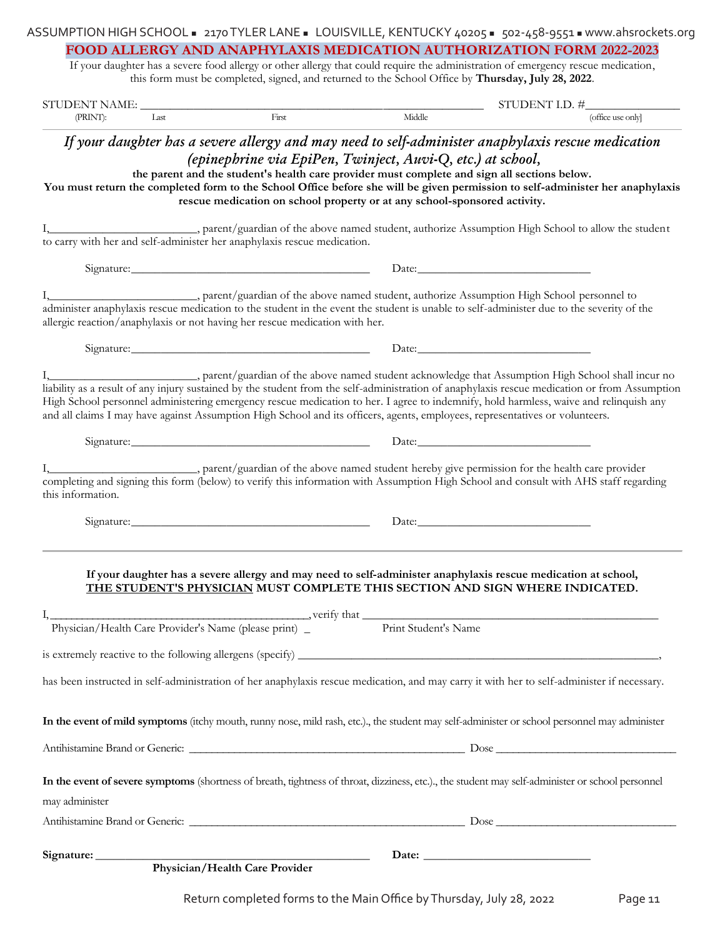|                              |                                                                                                                                                                                                                                          | FOOD ALLERGY AND ANAPHYLAXIS MEDICATION AUTHORIZATION FORM 2022-2023                                                                                                                                                                                                                                                           |
|------------------------------|------------------------------------------------------------------------------------------------------------------------------------------------------------------------------------------------------------------------------------------|--------------------------------------------------------------------------------------------------------------------------------------------------------------------------------------------------------------------------------------------------------------------------------------------------------------------------------|
|                              |                                                                                                                                                                                                                                          | If your daughter has a severe food allergy or other allergy that could require the administration of emergency rescue medication,<br>this form must be completed, signed, and returned to the School Office by Thursday, July 28, 2022.                                                                                        |
|                              |                                                                                                                                                                                                                                          |                                                                                                                                                                                                                                                                                                                                |
|                              |                                                                                                                                                                                                                                          | $STUDENT NAME:$<br>$TUDENT I.D. #$<br>$TUDENT I.D. #$<br>$T(TUDENT I.D. #$                                                                                                                                                                                                                                                     |
|                              |                                                                                                                                                                                                                                          |                                                                                                                                                                                                                                                                                                                                |
|                              | (epinephrine via EpiPen, Twinject, Auvi-Q, etc.) at school,<br>the parent and the student's health care provider must complete and sign all sections below.<br>rescue medication on school property or at any school-sponsored activity. | If your daughter has a severe allergy and may need to self-administer anaphylaxis rescue medication<br>You must return the completed form to the School Office before she will be given permission to self-administer her anaphylaxis                                                                                          |
|                              | to carry with her and self-administer her anaphylaxis rescue medication.                                                                                                                                                                 | parent/guardian of the above named student, authorize Assumption High School to allow the student                                                                                                                                                                                                                              |
|                              |                                                                                                                                                                                                                                          |                                                                                                                                                                                                                                                                                                                                |
|                              |                                                                                                                                                                                                                                          |                                                                                                                                                                                                                                                                                                                                |
|                              | allergic reaction/anaphylaxis or not having her rescue medication with her.                                                                                                                                                              | parent/guardian of the above named student, authorize Assumption High School personnel to<br>administer anaphylaxis rescue medication to the student in the event the student is unable to self-administer due to the severity of the                                                                                          |
|                              | Signature: <u>Contract Communications and Communications</u> Date: Date:                                                                                                                                                                 |                                                                                                                                                                                                                                                                                                                                |
|                              |                                                                                                                                                                                                                                          | High School personnel administering emergency rescue medication to her. I agree to indemnify, hold harmless, waive and relinquish any<br>and all claims I may have against Assumption High School and its officers, agents, employees, representatives or volunteers.                                                          |
|                              |                                                                                                                                                                                                                                          | Signature: Date: Date: Date:<br>parent/guardian of the above named student hereby give permission for the health care provider<br>completing and signing this form (below) to verify this information with Assumption High School and consult with AHS staff regarding                                                         |
| this information.            |                                                                                                                                                                                                                                          | Date:                                                                                                                                                                                                                                                                                                                          |
|                              |                                                                                                                                                                                                                                          | If your daughter has a severe allergy and may need to self-administer anaphylaxis rescue medication at school,<br>THE STUDENT'S PHYSICIAN MUST COMPLETE THIS SECTION AND SIGN WHERE INDICATED.<br>I, verify that verify that verify that verify that verify that verify that verify that verify that very print Student's Name |
|                              |                                                                                                                                                                                                                                          |                                                                                                                                                                                                                                                                                                                                |
|                              |                                                                                                                                                                                                                                          | has been instructed in self-administration of her anaphylaxis rescue medication, and may carry it with her to self-administer if necessary.                                                                                                                                                                                    |
|                              |                                                                                                                                                                                                                                          | In the event of mild symptoms (itchy mouth, runny nose, mild rash, etc.)., the student may self-administer or school personnel may administer                                                                                                                                                                                  |
|                              |                                                                                                                                                                                                                                          |                                                                                                                                                                                                                                                                                                                                |
|                              |                                                                                                                                                                                                                                          | In the event of severe symptoms (shortness of breath, tightness of throat, dizziness, etc.)., the student may self-administer or school personnel                                                                                                                                                                              |
|                              |                                                                                                                                                                                                                                          |                                                                                                                                                                                                                                                                                                                                |
| may administer<br>Signature: |                                                                                                                                                                                                                                          |                                                                                                                                                                                                                                                                                                                                |